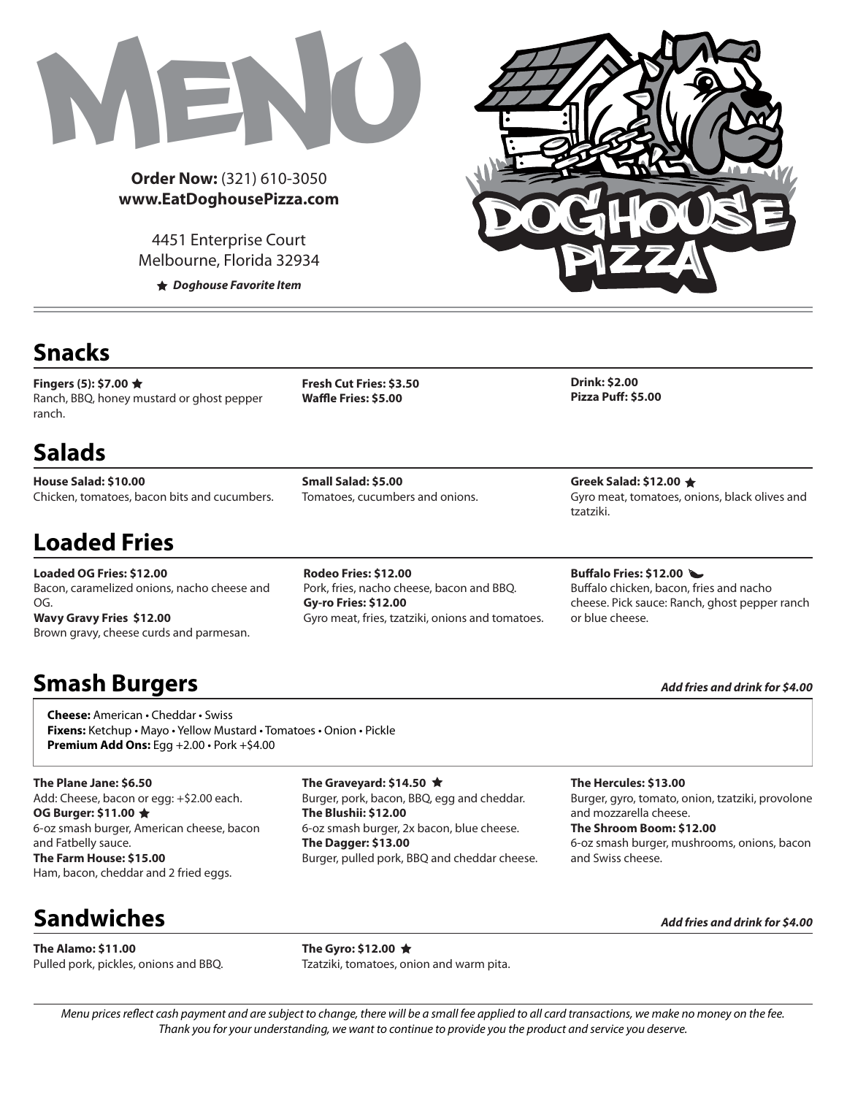

**Order Now:** (321) 610-3050 **www.EatDoghousePizza.com**

4451 Enterprise Court Melbourne, Florida 32934

*Doghouse Favorite Item*

## **Snacks**

**Fingers (5): \$7.00** Ranch, BBQ, honey mustard or ghost pepper ranch.

**Fresh Cut Fries: \$3.50 Waffle Fries: \$5.00**

**Small Salad: \$5.00**

Tomatoes, cucumbers and onions.

**Drink: \$2.00 Pizza Puff: \$5.00**

**Salads**

**House Salad: \$10.00** Chicken, tomatoes, bacon bits and cucumbers.

## **Loaded Fries**

**Loaded OG Fries: \$12.00** Bacon, caramelized onions, nacho cheese and OG. **Wavy Gravy Fries \$12.00** Brown gravy, cheese curds and parmesan.

**Rodeo Fries: \$12.00** Pork, fries, nacho cheese, bacon and BBQ. **Gy-ro Fries: \$12.00** Gyro meat, fries, tzatziki, onions and tomatoes. **Greek Salad: \$12.00** Gyro meat, tomatoes, onions, black olives and tzatziki.

**Buffalo Fries: \$12.00** Buffalo chicken, bacon, fries and nacho cheese. Pick sauce: Ranch, ghost pepper ranch or blue cheese.

## **Smash Burgers** *Add fries and drink for \$4.00*

**Cheese:** American • Cheddar • Swiss **Fixens:** Ketchup • Mayo • Yellow Mustard • Tomatoes • Onion • Pickle **Premium Add Ons:** Egg +2.00 • Pork +\$4.00

**The Plane Jane: \$6.50** Add: Cheese, bacon or egg: +\$2.00 each. **OG Burger: \$11.00** 6-oz smash burger, American cheese, bacon and Fatbelly sauce. **The Farm House: \$15.00** Ham, bacon, cheddar and 2 fried eggs.

**Sandwiches** *Add fries and drink for \$4.00*

**The Alamo: \$11.00** Pulled pork, pickles, onions and BBQ. **The Graveyard: \$14.50** Burger, pork, bacon, BBQ, egg and cheddar. **The Blushii: \$12.00** 6-oz smash burger, 2x bacon, blue cheese. **The Dagger: \$13.00** Burger, pulled pork, BBQ and cheddar cheese. **The Hercules: \$13.00** Burger, gyro, tomato, onion, tzatziki, provolone and mozzarella cheese.

**The Shroom Boom: \$12.00** 6-oz smash burger, mushrooms, onions, bacon and Swiss cheese.

*Menu prices reflect cash payment and are subject to change, there will be a small fee applied to all card transactions, we make no money on the fee. Thank you for your understanding, we want to continue to provide you the product and service you deserve.*

Tzatziki, tomatoes, onion and warm pita.

**The Gyro: \$12.00**